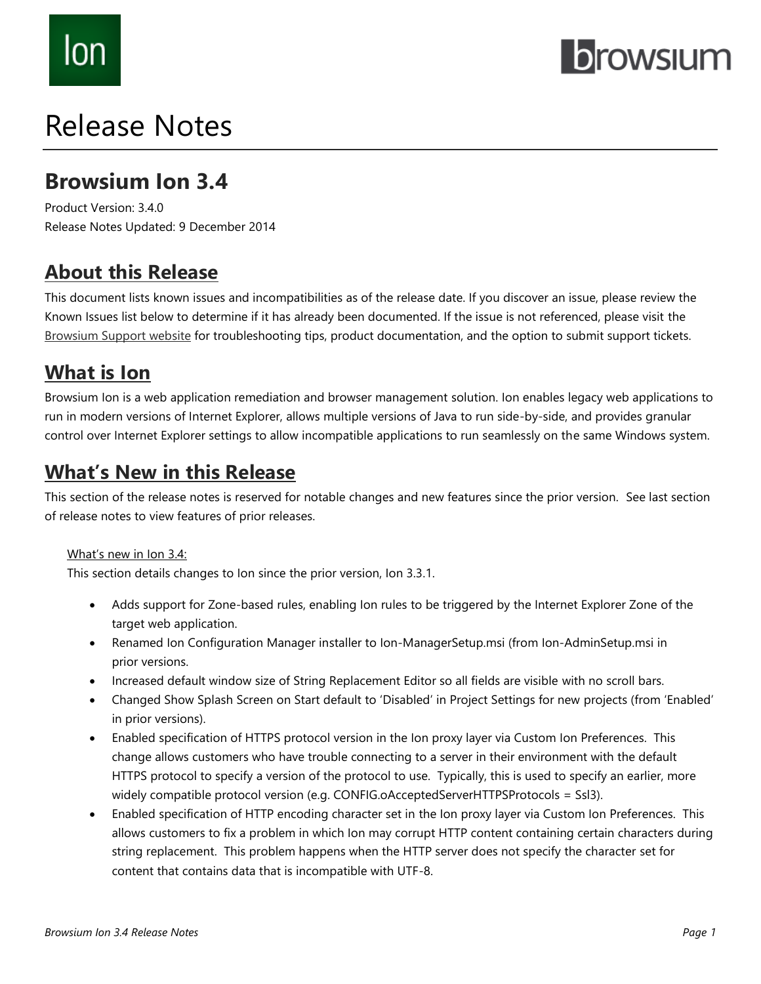# lon

## **Drowsium**

## Release Notes

## **Browsium Ion 3.4**

Product Version: 3.4.0 Release Notes Updated: 9 December 2014

### **About this Release**

This document lists known issues and incompatibilities as of the release date. If you discover an issue, please review the Known Issues list below to determine if it has already been documented. If the issue is not referenced, please visit the [Browsium Support](http://www.browsium.com/support/) website for troubleshooting tips, product documentation, and the option to submit support tickets.

## **What is Ion**

Browsium Ion is a web application remediation and browser management solution. Ion enables legacy web applications to run in modern versions of Internet Explorer, allows multiple versions of Java to run side-by-side, and provides granular control over Internet Explorer settings to allow incompatible applications to run seamlessly on the same Windows system.

### **What's New in this Release**

This section of the release notes is reserved for notable changes and new features since the prior version. See last section of release notes to view features of prior releases.

#### What's new in Ion 3.4:

This section details changes to Ion since the prior version, Ion 3.3.1.

- Adds support for Zone-based rules, enabling Ion rules to be triggered by the Internet Explorer Zone of the target web application.
- Renamed Ion Configuration Manager installer to Ion-ManagerSetup.msi (from Ion-AdminSetup.msi in prior versions.
- Increased default window size of String Replacement Editor so all fields are visible with no scroll bars.
- Changed Show Splash Screen on Start default to 'Disabled' in Project Settings for new projects (from 'Enabled' in prior versions).
- Enabled specification of HTTPS protocol version in the Ion proxy layer via Custom Ion Preferences. This change allows customers who have trouble connecting to a server in their environment with the default HTTPS protocol to specify a version of the protocol to use. Typically, this is used to specify an earlier, more widely compatible protocol version (e.g. CONFIG.oAcceptedServerHTTPSProtocols = Ssl3).
- Enabled specification of HTTP encoding character set in the Ion proxy layer via Custom Ion Preferences. This allows customers to fix a problem in which Ion may corrupt HTTP content containing certain characters during string replacement. This problem happens when the HTTP server does not specify the character set for content that contains data that is incompatible with UTF-8.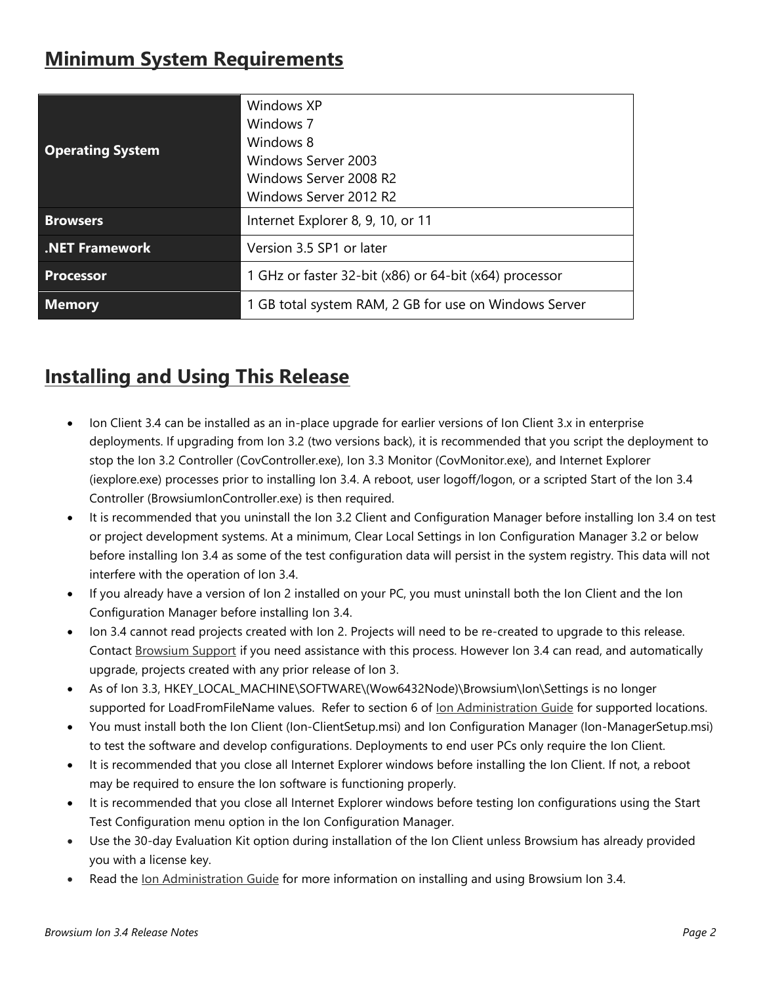## **Minimum System Requirements**

| <b>Operating System</b> | Windows XP<br>Windows 7<br>Windows 8<br>Windows Server 2003<br>Windows Server 2008 R2<br>Windows Server 2012 R2 |
|-------------------------|-----------------------------------------------------------------------------------------------------------------|
| <b>Browsers</b>         | Internet Explorer 8, 9, 10, or 11                                                                               |
| <b>NET Framework</b>    | Version 3.5 SP1 or later                                                                                        |
| <b>Processor</b>        | 1 GHz or faster 32-bit (x86) or 64-bit (x64) processor                                                          |
| <b>Memory</b>           | 1 GB total system RAM, 2 GB for use on Windows Server                                                           |

## **Installing and Using This Release**

- Ion Client 3.4 can be installed as an in-place upgrade for earlier versions of Ion Client 3.x in enterprise deployments. If upgrading from Ion 3.2 (two versions back), it is recommended that you script the deployment to stop the Ion 3.2 Controller (CovController.exe), Ion 3.3 Monitor (CovMonitor.exe), and Internet Explorer (iexplore.exe) processes prior to installing Ion 3.4. A reboot, user logoff/logon, or a scripted Start of the Ion 3.4 Controller (BrowsiumIonController.exe) is then required.
- It is recommended that you uninstall the Ion 3.2 Client and Configuration Manager before installing Ion 3.4 on test or project development systems. At a minimum, Clear Local Settings in Ion Configuration Manager 3.2 or below before installing Ion 3.4 as some of the test configuration data will persist in the system registry. This data will not interfere with the operation of Ion 3.4.
- If you already have a version of Ion 2 installed on your PC, you must uninstall both the Ion Client and the Ion Configuration Manager before installing Ion 3.4.
- Ion 3.4 cannot read projects created with Ion 2. Projects will need to be re-created to upgrade to this release. Contact [Browsium Support](mailto:support@browsium.com) if you need assistance with this process. However Ion 3.4 can read, and automatically upgrade, projects created with any prior release of Ion 3.
- As of Ion 3.3, HKEY\_LOCAL\_MACHINE\SOFTWARE\(Wow6432Node)\Browsium\Ion\Settings is no longer supported for LoadFromFileName values. Refer to section 6 of lon Administration Guide for supported locations.
- You must install both the Ion Client (Ion-ClientSetup.msi) and Ion Configuration Manager (Ion-ManagerSetup.msi) to test the software and develop configurations. Deployments to end user PCs only require the Ion Client.
- It is recommended that you close all Internet Explorer windows before installing the Ion Client. If not, a reboot may be required to ensure the Ion software is functioning properly.
- It is recommended that you close all Internet Explorer windows before testing Ion configurations using the Start Test Configuration menu option in the Ion Configuration Manager.
- Use the 30-day Evaluation Kit option during installation of the Ion Client unless Browsium has already provided you with a license key.
- Read the [Ion Administration Guide](http://docs.browsium.com/guide/?v=3.4.0&p=Ion) for more information on installing and using Browsium Ion 3.4.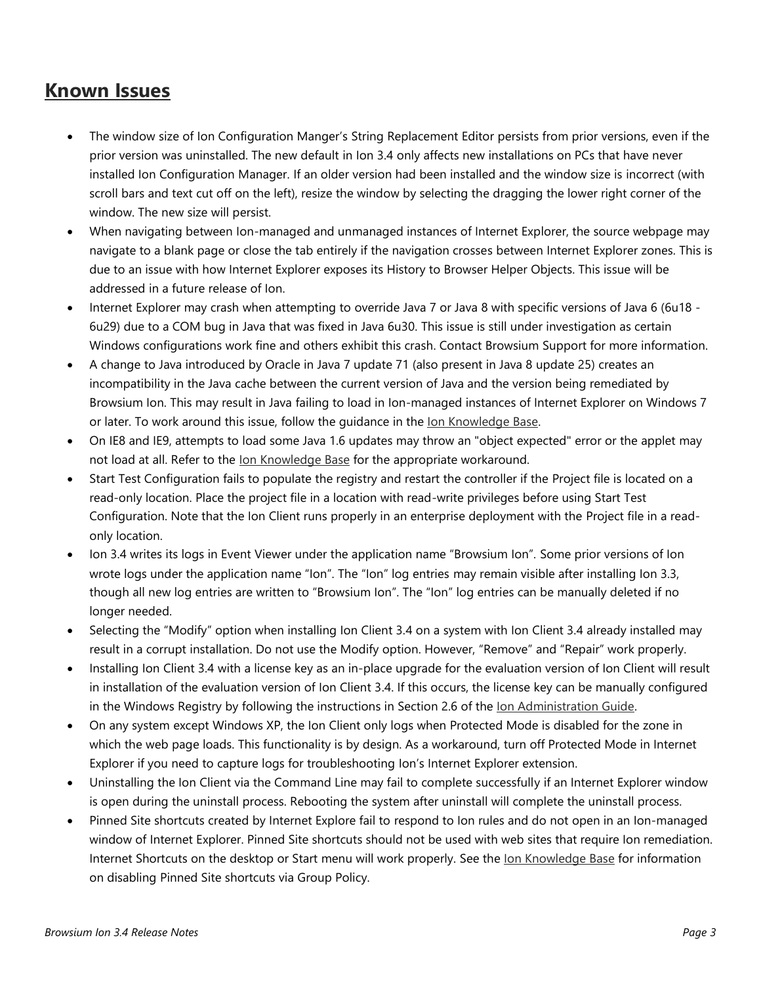#### **Known Issues**

- The window size of Ion Configuration Manger's String Replacement Editor persists from prior versions, even if the prior version was uninstalled. The new default in Ion 3.4 only affects new installations on PCs that have never installed Ion Configuration Manager. If an older version had been installed and the window size is incorrect (with scroll bars and text cut off on the left), resize the window by selecting the dragging the lower right corner of the window. The new size will persist.
- When navigating between Ion-managed and unmanaged instances of Internet Explorer, the source webpage may navigate to a blank page or close the tab entirely if the navigation crosses between Internet Explorer zones. This is due to an issue with how Internet Explorer exposes its History to Browser Helper Objects. This issue will be addressed in a future release of Ion.
- Internet Explorer may crash when attempting to override Java 7 or Java 8 with specific versions of Java 6 (6u18 6u29) due to a COM bug in Java that was fixed in Java 6u30. This issue is still under investigation as certain Windows configurations work fine and others exhibit this crash. Contact Browsium Support for more information.
- A change to Java introduced by Oracle in Java 7 update 71 (also present in Java 8 update 25) creates an incompatibility in the Java cache between the current version of Java and the version being remediated by Browsium Ion. This may result in Java failing to load in Ion-managed instances of Internet Explorer on Windows 7 or later. To work around this issue, follow the guidance in the [Ion Knowledge Base.](http://www.browsium.com/faqs/java-version-remediation-java-7u71-or-newer/)
- On IE8 and IE9, attempts to load some Java 1.6 updates may throw an "object expected" error or the applet may not load at all. Refer to the [Ion Knowledge Base](http://www.browsium.com/faqs/java-16-remediation-issues-workarounds/) for the appropriate workaround.
- Start Test Configuration fails to populate the registry and restart the controller if the Project file is located on a read-only location. Place the project file in a location with read-write privileges before using Start Test Configuration. Note that the Ion Client runs properly in an enterprise deployment with the Project file in a readonly location.
- Ion 3.4 writes its logs in Event Viewer under the application name "Browsium Ion". Some prior versions of Ion wrote logs under the application name "Ion". The "Ion" log entries may remain visible after installing Ion 3.3, though all new log entries are written to "Browsium Ion". The "Ion" log entries can be manually deleted if no longer needed.
- Selecting the "Modify" option when installing Ion Client 3.4 on a system with Ion Client 3.4 already installed may result in a corrupt installation. Do not use the Modify option. However, "Remove" and "Repair" work properly.
- Installing Ion Client 3.4 with a license key as an in-place upgrade for the evaluation version of Ion Client will result in installation of the evaluation version of Ion Client 3.4. If this occurs, the license key can be manually configured in the Windows Registry by following the instructions in Section 2.6 of the [Ion Administration Guide.](http://docs.browsium.com/guide/?v=3.4.0&p=Ion)
- On any system except Windows XP, the Ion Client only logs when Protected Mode is disabled for the zone in which the web page loads. This functionality is by design. As a workaround, turn off Protected Mode in Internet Explorer if you need to capture logs for troubleshooting Ion's Internet Explorer extension.
- Uninstalling the Ion Client via the Command Line may fail to complete successfully if an Internet Explorer window is open during the uninstall process. Rebooting the system after uninstall will complete the uninstall process.
- Pinned Site shortcuts created by Internet Explore fail to respond to Ion rules and do not open in an Ion-managed window of Internet Explorer. Pinned Site shortcuts should not be used with web sites that require Ion remediation. Internet Shortcuts on the desktop or Start menu will work properly. See the [Ion Knowledge Base](http://www.browsium.com/faqs/ion-and-catalyst-do-not-work-with-ie-pinned-sites/) for information on disabling Pinned Site shortcuts via Group Policy.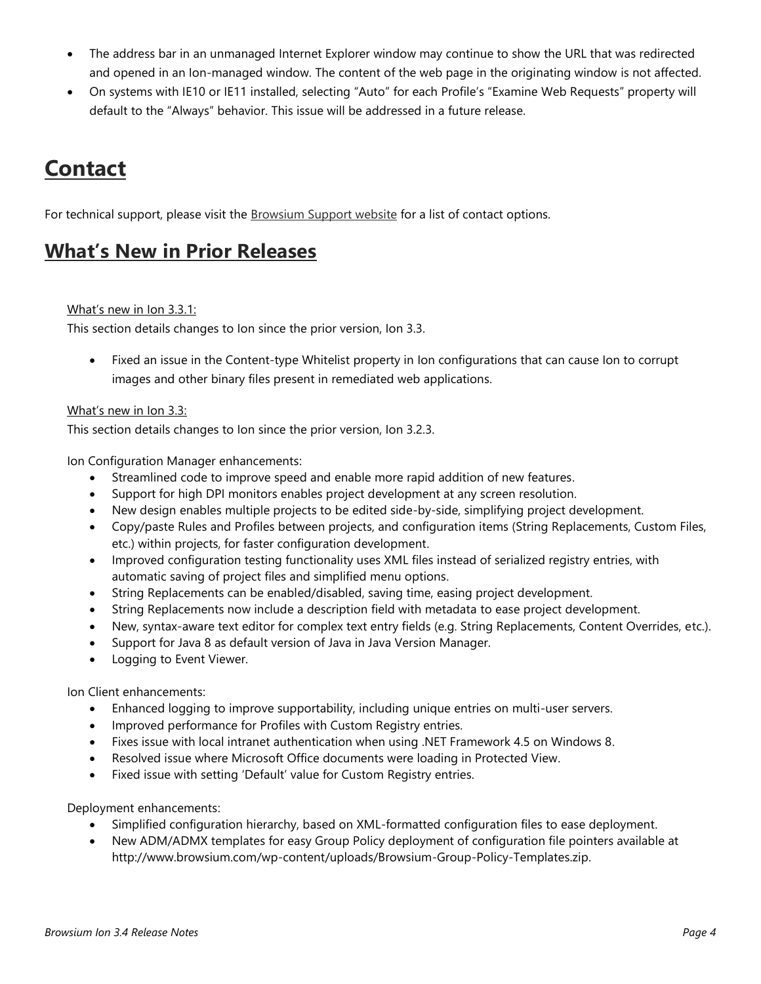- The address bar in an unmanaged Internet Explorer window may continue to show the URL that was redirected and opened in an Ion-managed window. The content of the web page in the originating window is not affected.
- On systems with IE10 or IE11 installed, selecting "Auto" for each Profile's "Examine Web Requests" property will default to the "Always" behavior. This issue will be addressed in a future release.

## **Contact**

For technical support, please visit the [Browsium Support website](http://www.browsium.com/support/) for a list of contact options.

#### **What's New in Prior Releases**

#### What's new in Ion 3.3.1:

This section details changes to Ion since the prior version, Ion 3.3.

 Fixed an issue in the Content-type Whitelist property in Ion configurations that can cause Ion to corrupt images and other binary files present in remediated web applications.

#### What's new in Ion 3.3:

This section details changes to Ion since the prior version, Ion 3.2.3.

Ion Configuration Manager enhancements:

- Streamlined code to improve speed and enable more rapid addition of new features.
- Support for high DPI monitors enables project development at any screen resolution.
- New design enables multiple projects to be edited side-by-side, simplifying project development.
- Copy/paste Rules and Profiles between projects, and configuration items (String Replacements, Custom Files, etc.) within projects, for faster configuration development.
- Improved configuration testing functionality uses XML files instead of serialized registry entries, with automatic saving of project files and simplified menu options.
- String Replacements can be enabled/disabled, saving time, easing project development.
- String Replacements now include a description field with metadata to ease project development.
- New, syntax-aware text editor for complex text entry fields (e.g. String Replacements, Content Overrides, etc.).
- Support for Java 8 as default version of Java in Java Version Manager.
- Logging to Event Viewer.

Ion Client enhancements:

- Enhanced logging to improve supportability, including unique entries on multi-user servers.
- Improved performance for Profiles with Custom Registry entries.
- Fixes issue with local intranet authentication when using .NET Framework 4.5 on Windows 8.
- Resolved issue where Microsoft Office documents were loading in Protected View.
- Fixed issue with setting 'Default' value for Custom Registry entries.

Deployment enhancements:

- Simplified configuration hierarchy, based on XML-formatted configuration files to ease deployment.
- New ADM/ADMX templates for easy Group Policy deployment of configuration file pointers available at http://www.browsium.com/wp-content/uploads/Browsium-Group-Policy-Templates.zip.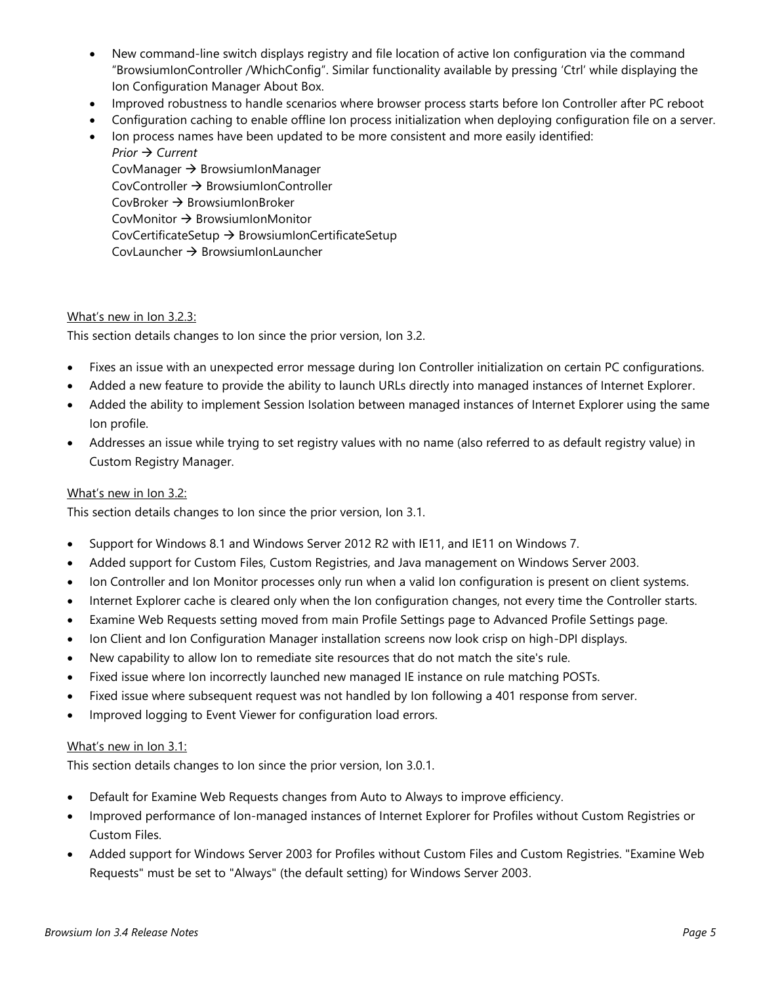- New command-line switch displays registry and file location of active Ion configuration via the command "BrowsiumIonController /WhichConfig". Similar functionality available by pressing 'Ctrl' while displaying the Ion Configuration Manager About Box.
- Improved robustness to handle scenarios where browser process starts before Ion Controller after PC reboot
- Configuration caching to enable offline Ion process initialization when deploying configuration file on a server. • Ion process names have been updated to be more consistent and more easily identified:

*Prior → Current* CovManager  $\rightarrow$  BrowsiumIonManager  $CovController \rightarrow BrownIonController$  $CovBroker \rightarrow Brows$  TowsiumIonBroker CovMonitor  $\rightarrow$  BrowsiumIonMonitor CovCertificateSetup  $\rightarrow$  BrowsiumIonCertificateSetup CovLauncher  $\rightarrow$  BrowsiumIonLauncher

#### What's new in Ion 3.2.3:

This section details changes to Ion since the prior version, Ion 3.2.

- Fixes an issue with an unexpected error message during Ion Controller initialization on certain PC configurations.
- Added a new feature to provide the ability to launch URLs directly into managed instances of Internet Explorer.
- Added the ability to implement Session Isolation between managed instances of Internet Explorer using the same Ion profile.
- Addresses an issue while trying to set registry values with no name (also referred to as default registry value) in Custom Registry Manager.

#### What's new in Ion 3.2:

This section details changes to Ion since the prior version, Ion 3.1.

- Support for Windows 8.1 and Windows Server 2012 R2 with IE11, and IE11 on Windows 7.
- Added support for Custom Files, Custom Registries, and Java management on Windows Server 2003.
- Ion Controller and Ion Monitor processes only run when a valid Ion configuration is present on client systems.
- Internet Explorer cache is cleared only when the Ion configuration changes, not every time the Controller starts.
- Examine Web Requests setting moved from main Profile Settings page to Advanced Profile Settings page.
- Ion Client and Ion Configuration Manager installation screens now look crisp on high-DPI displays.
- New capability to allow Ion to remediate site resources that do not match the site's rule.
- Fixed issue where Ion incorrectly launched new managed IE instance on rule matching POSTs.
- Fixed issue where subsequent request was not handled by Ion following a 401 response from server.
- Improved logging to Event Viewer for configuration load errors.

#### What's new in Ion 3.1:

This section details changes to Ion since the prior version, Ion 3.0.1.

- Default for Examine Web Requests changes from Auto to Always to improve efficiency.
- Improved performance of Ion-managed instances of Internet Explorer for Profiles without Custom Registries or Custom Files.
- Added support for Windows Server 2003 for Profiles without Custom Files and Custom Registries. "Examine Web Requests" must be set to "Always" (the default setting) for Windows Server 2003.